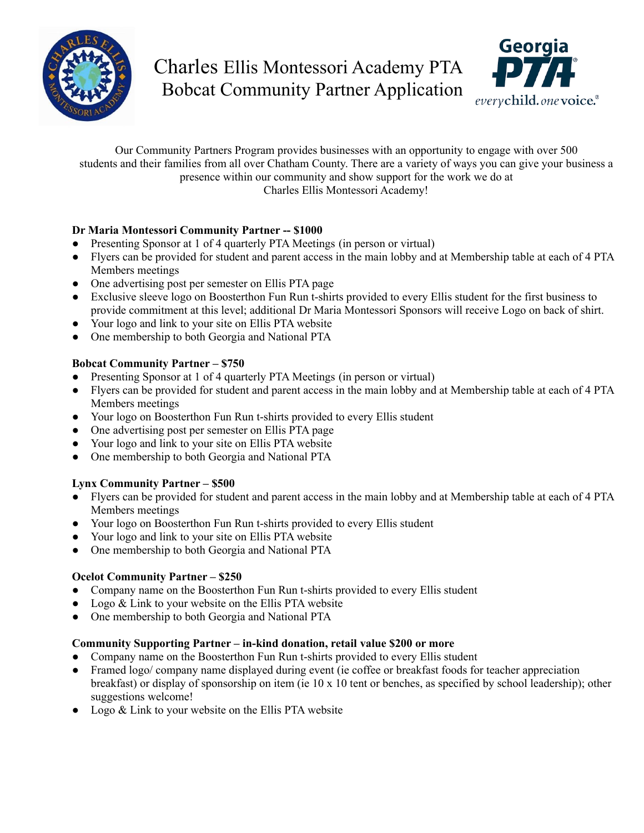

# Charles Ellis Montessori Academy PTA Bobcat Community Partner Application



Our Community Partners Program provides businesses with an opportunity to engage with over 500 students and their families from all over Chatham County. There are a variety of ways you can give your business a presence within our community and show support for the work we do at Charles Ellis Montessori Academy!

### **Dr Maria Montessori Community Partner -- \$1000**

- Presenting Sponsor at 1 of 4 quarterly PTA Meetings (in person or virtual)
- Flyers can be provided for student and parent access in the main lobby and at Membership table at each of 4 PTA Members meetings
- One advertising post per semester on Ellis PTA page
- Exclusive sleeve logo on Boosterthon Fun Run t-shirts provided to every Ellis student for the first business to provide commitment at this level; additional Dr Maria Montessori Sponsors will receive Logo on back of shirt.
- Your logo and link to your site on Ellis PTA website
- One membership to both Georgia and National PTA

#### **Bobcat Community Partner – \$750**

- Presenting Sponsor at 1 of 4 quarterly PTA Meetings (in person or virtual)
- Flyers can be provided for student and parent access in the main lobby and at Membership table at each of 4 PTA Members meetings
- Your logo on Boosterthon Fun Run t-shirts provided to every Ellis student
- One advertising post per semester on Ellis PTA page
- Your logo and link to your site on Ellis PTA website
- One membership to both Georgia and National PTA

#### **Lynx Community Partner – \$500**

- Flyers can be provided for student and parent access in the main lobby and at Membership table at each of 4 PTA Members meetings
- Your logo on Boosterthon Fun Run t-shirts provided to every Ellis student
- Your logo and link to your site on Ellis PTA website
- One membership to both Georgia and National PTA

#### **Ocelot Community Partner – \$250**

- Company name on the Boosterthon Fun Run t-shirts provided to every Ellis student
- Logo & Link to your website on the Ellis PTA website
- One membership to both Georgia and National PTA

#### **Community Supporting Partner – in-kind donation, retail value \$200 or more**

- Company name on the Boosterthon Fun Run t-shirts provided to every Ellis student
- Framed logo/ company name displayed during event (ie coffee or breakfast foods for teacher appreciation breakfast) or display of sponsorship on item (ie 10 x 10 tent or benches, as specified by school leadership); other suggestions welcome!
- Logo & Link to your website on the Ellis PTA website